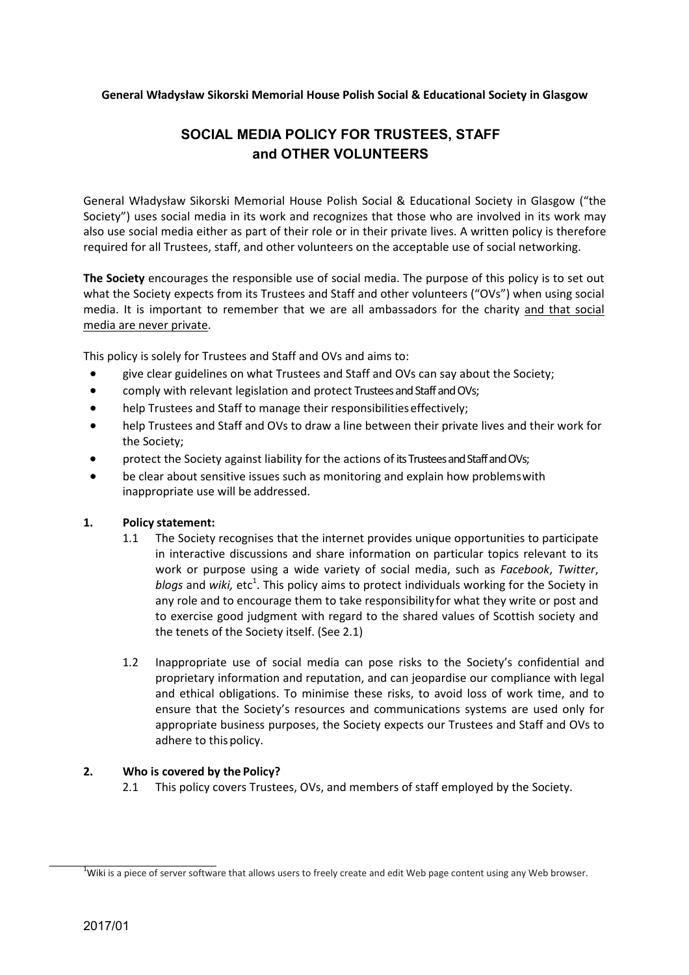## General Władysław Sikorski Memorial House Polish Social & Educational Society in Glasgow

# SOCIAL MEDIA POLICY FOR TRUSTEES, STAFF and OTHER VOLUNTEERS

General Władysław Sikorski Memorial House Polish Social & Educational Society in Glasgow ("the Society") uses social media in its work and recognizes that those who are involved in its work may also use social media either as part of their role or in their private lives. A written policy is therefore required for all Trustees, staff, and other volunteers on the acceptable use of social networking.

The Society encourages the responsible use of social media. The purpose of this policy is to set out what the Society expects from its Trustees and Staff and other volunteers ("OVs") when using social media. It is important to remember that we are all ambassadors for the charity and that social media are never private.

This policy is solely for Trustees and Staff and OVs and aims to:

- give clear guidelines on what Trustees and Staff and OVs can say about the Society;
- comply with relevant legislation and protect Trustees and Staff and OVs;
- help Trustees and Staff to manage their responsibilities effectively;
- help Trustees and Staff and OVs to draw a line between their private lives and their work for the Society;
- protect the Society against liability for the actions of its Trustees and Staff and OVs;
- be clear about sensitive issues such as monitoring and explain how problems with inappropriate use will be addressed.

## 1. Policy statement:

- 1.1 The Society recognises that the internet provides unique opportunities to participate in interactive discussions and share information on particular topics relevant to its work or purpose using a wide variety of social media, such as *Facebook*, Twitter, blogs and wiki, etc<sup>1</sup>. This policy aims to protect individuals working for the Society in any role and to encourage them to take responsibility for what they write or post and to exercise good judgment with regard to the shared values of Scottish society and the tenets of the Society itself. (See 2.1)
- 1.2 Inappropriate use of social media can pose risks to the Society's confidential and proprietary information and reputation, and can jeopardise our compliance with legal and ethical obligations. To minimise these risks, to avoid loss of work time, and to ensure that the Society's resources and communications systems are used only for appropriate business purposes, the Society expects our Trustees and Staff and OVs to adhere to this policy.

## 2. Who is covered by the Policy?

2.1 This policy covers Trustees, OVs, and members of staff employed by the Society.

<sup>&</sup>lt;sup>1</sup>Wiki is a piece of server software that allows users to freely create and edit Web page content using any Web browser.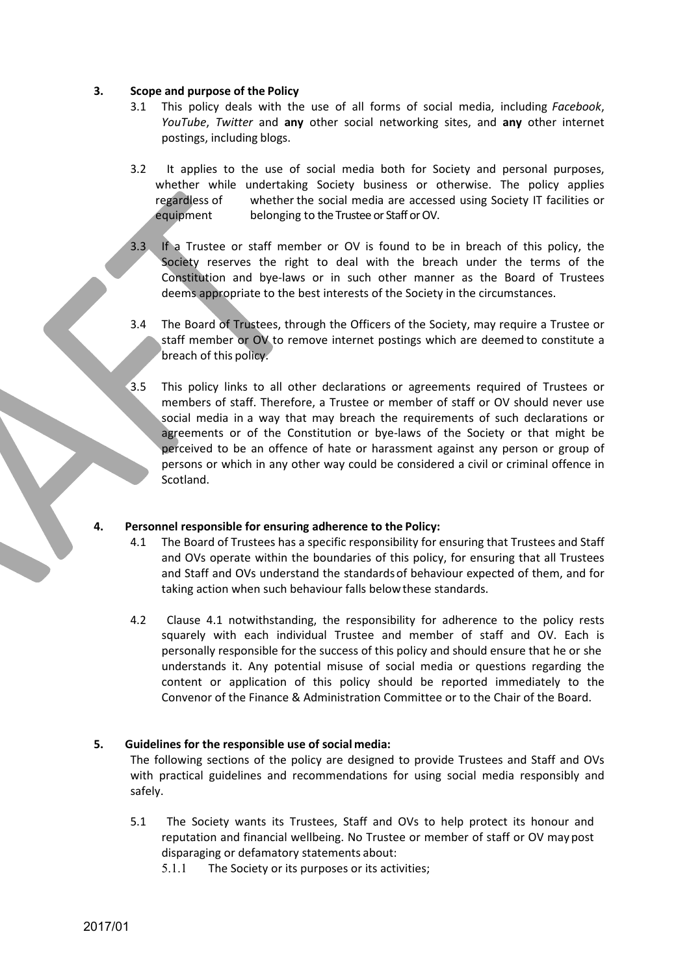#### 3. Scope and purpose of the Policy

- 3.1 This policy deals with the use of all forms of social media, including Facebook, YouTube, Twitter and any other social networking sites, and any other internet postings, including blogs.
- 3.2 It applies to the use of social media both for Society and personal purposes, whether while undertaking Society business or otherwise. The policy applies regardless of whether the social media are accessed using Society IT facilities or equipment belonging to the Trustee or Staff or OV.
- 3.3 If a Trustee or staff member or OV is found to be in breach of this policy, the Society reserves the right to deal with the breach under the terms of the Constitution and bye-laws or in such other manner as the Board of Trustees deems appropriate to the best interests of the Society in the circumstances.
- 3.4 The Board of Trustees, through the Officers of the Society, may require a Trustee or staff member or OV to remove internet postings which are deemed to constitute a breach of this policy.
- $\bar{3}$ .5 This policy links to all other declarations or agreements required of Trustees or members of staff. Therefore, a Trustee or member of staff or OV should never use social media in a way that may breach the requirements of such declarations or agreements or of the Constitution or bye-laws of the Society or that might be perceived to be an offence of hate or harassment against any person or group of persons or which in any other way could be considered a civil or criminal offence in Scotland.

## 4. Personnel responsible for ensuring adherence to the Policy:

- 4.1 The Board of Trustees has a specific responsibility for ensuring that Trustees and Staff and OVs operate within the boundaries of this policy, for ensuring that all Trustees and Staff and OVs understand the standards of behaviour expected of them, and for taking action when such behaviour falls below these standards.
- 4.2 Clause 4.1 notwithstanding, the responsibility for adherence to the policy rests squarely with each individual Trustee and member of staff and OV. Each is personally responsible for the success of this policy and should ensure that he or she understands it. Any potential misuse of social media or questions regarding the content or application of this policy should be reported immediately to the Convenor of the Finance & Administration Committee or to the Chair of the Board.

# 5. Guidelines for the responsible use of social media:

 The following sections of the policy are designed to provide Trustees and Staff and OVs with practical guidelines and recommendations for using social media responsibly and safely.

- 5.1 The Society wants its Trustees, Staff and OVs to help protect its honour and reputation and financial wellbeing. No Trustee or member of staff or OV may post disparaging or defamatory statements about:
	- 5.1.1 The Society or its purposes or its activities;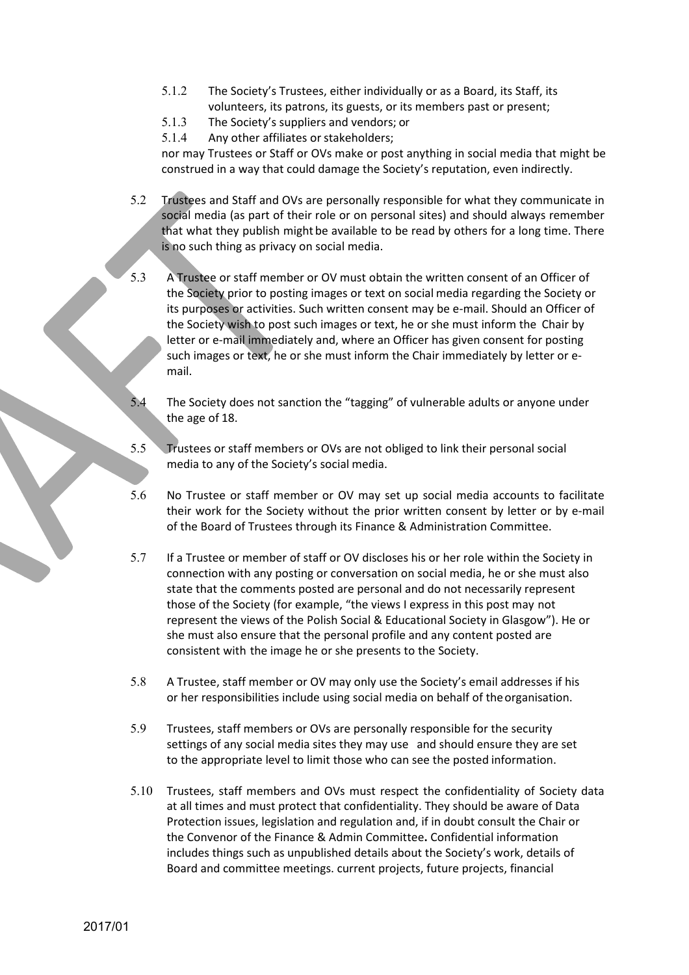- 5.1.2 The Society's Trustees, either individually or as a Board, its Staff, its volunteers, its patrons, its guests, or its members past or present;
- 5.1.3 The Society's suppliers and vendors; or
- 5.1.4 Any other affiliates or stakeholders;

nor may Trustees or Staff or OVs make or post anything in social media that might be construed in a way that could damage the Society's reputation, even indirectly.

- 5.2 Trustees and Staff and OVs are personally responsible for what they communicate in social media (as part of their role or on personal sites) and should always remember that what they publish might be available to be read by others for a long time. There is no such thing as privacy on social media.
- 5.3 A Trustee or staff member or OV must obtain the written consent of an Officer of the Society prior to posting images or text on social media regarding the Society or its purposes or activities. Such written consent may be e-mail. Should an Officer of the Society wish to post such images or text, he or she must inform the Chair by letter or e-mail immediately and, where an Officer has given consent for posting such images or  $\overline{text}$ , he or she must inform the Chair immediately by letter or email.
- The Society does not sanction the "tagging" of vulnerable adults or anyone under the age of 18.
- 5.5 **Trustees or staff members or OVs are not obliged to link their personal social** media to any of the Society's social media.
- 5.6 No Trustee or staff member or OV may set up social media accounts to facilitate their work for the Society without the prior written consent by letter or by e-mail of the Board of Trustees through its Finance & Administration Committee.
- 5.7 If a Trustee or member of staff or OV discloses his or her role within the Society in connection with any posting or conversation on social media, he or she must also state that the comments posted are personal and do not necessarily represent those of the Society (for example, "the views I express in this post may not represent the views of the Polish Social & Educational Society in Glasgow"). He or she must also ensure that the personal profile and any content posted are consistent with the image he or she presents to the Society.
- 5.8 A Trustee, staff member or OV may only use the Society's email addresses if his or her responsibilities include using social media on behalf of the organisation.
- 5.9 Trustees, staff members or OVs are personally responsible for the security settings of any social media sites they may use and should ensure they are set to the appropriate level to limit those who can see the posted information.
- 5.10 Trustees, staff members and OVs must respect the confidentiality of Society data at all times and must protect that confidentiality. They should be aware of Data Protection issues, legislation and regulation and, if in doubt consult the Chair or the Convenor of the Finance & Admin Committee. Confidential information includes things such as unpublished details about the Society's work, details of Board and committee meetings. current projects, future projects, financial